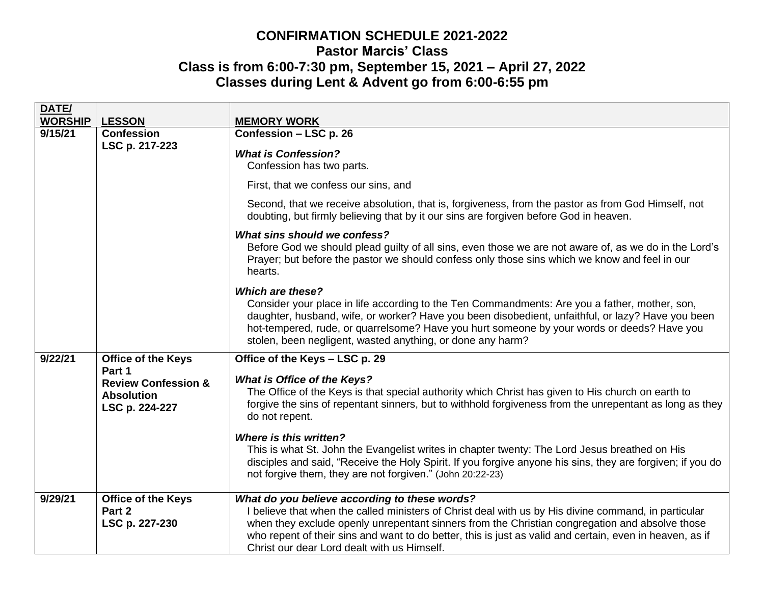## **CONFIRMATION SCHEDULE 2021-2022 Pastor Marcis' Class Class is from 6:00-7:30 pm, September 15, 2021 – April 27, 2022 Classes during Lent & Advent go from 6:00-6:55 pm**

| DATE/<br><b>WORSHIP</b> | <b>LESSON</b>                                                                   | <b>MEMORY WORK</b>                                                                                                                                                                                                                                                                                                                                                                                                 |
|-------------------------|---------------------------------------------------------------------------------|--------------------------------------------------------------------------------------------------------------------------------------------------------------------------------------------------------------------------------------------------------------------------------------------------------------------------------------------------------------------------------------------------------------------|
| 9/15/21                 | <b>Confession</b><br>LSC p. 217-223                                             | Confession - LSC p. 26                                                                                                                                                                                                                                                                                                                                                                                             |
|                         |                                                                                 | <b>What is Confession?</b><br>Confession has two parts.                                                                                                                                                                                                                                                                                                                                                            |
|                         |                                                                                 | First, that we confess our sins, and                                                                                                                                                                                                                                                                                                                                                                               |
|                         |                                                                                 | Second, that we receive absolution, that is, forgiveness, from the pastor as from God Himself, not<br>doubting, but firmly believing that by it our sins are forgiven before God in heaven.                                                                                                                                                                                                                        |
|                         |                                                                                 | What sins should we confess?<br>Before God we should plead guilty of all sins, even those we are not aware of, as we do in the Lord's<br>Prayer; but before the pastor we should confess only those sins which we know and feel in our<br>hearts.                                                                                                                                                                  |
|                         |                                                                                 | <b>Which are these?</b><br>Consider your place in life according to the Ten Commandments: Are you a father, mother, son,<br>daughter, husband, wife, or worker? Have you been disobedient, unfaithful, or lazy? Have you been<br>hot-tempered, rude, or quarrelsome? Have you hurt someone by your words or deeds? Have you<br>stolen, been negligent, wasted anything, or done any harm?                          |
| 9/22/21                 | <b>Office of the Keys</b>                                                       | Office of the Keys - LSC p. 29                                                                                                                                                                                                                                                                                                                                                                                     |
|                         | Part 1<br><b>Review Confession &amp;</b><br><b>Absolution</b><br>LSC p. 224-227 | <b>What is Office of the Keys?</b><br>The Office of the Keys is that special authority which Christ has given to His church on earth to<br>forgive the sins of repentant sinners, but to withhold forgiveness from the unrepentant as long as they<br>do not repent.                                                                                                                                               |
|                         |                                                                                 | <b>Where is this written?</b><br>This is what St. John the Evangelist writes in chapter twenty: The Lord Jesus breathed on His<br>disciples and said, "Receive the Holy Spirit. If you forgive anyone his sins, they are forgiven; if you do<br>not forgive them, they are not forgiven." (John 20:22-23)                                                                                                          |
| 9/29/21                 | Office of the Keys<br>Part 2<br>LSC p. 227-230                                  | What do you believe according to these words?<br>I believe that when the called ministers of Christ deal with us by His divine command, in particular<br>when they exclude openly unrepentant sinners from the Christian congregation and absolve those<br>who repent of their sins and want to do better, this is just as valid and certain, even in heaven, as if<br>Christ our dear Lord dealt with us Himself. |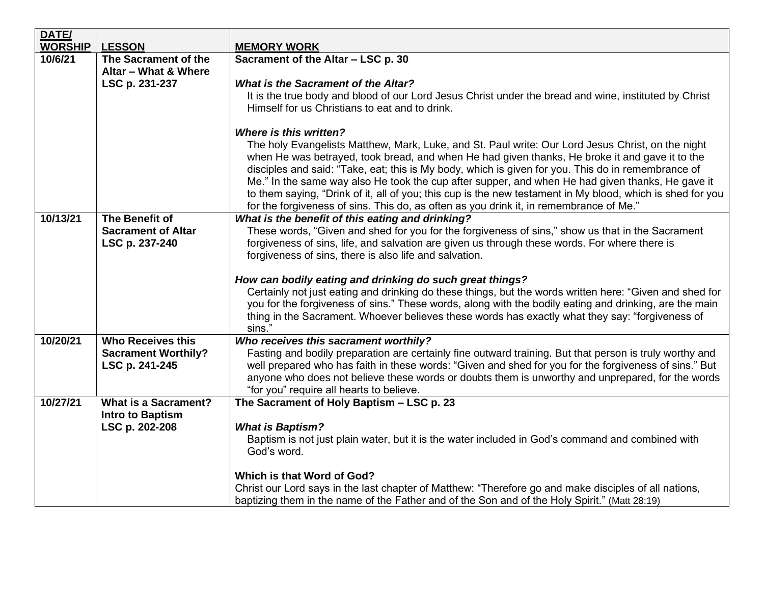| DATE/          |                                              |                                                                                                                                                                                                                                                                                                                                                                                                                                                                                                                                                                                                                       |  |  |  |  |  |
|----------------|----------------------------------------------|-----------------------------------------------------------------------------------------------------------------------------------------------------------------------------------------------------------------------------------------------------------------------------------------------------------------------------------------------------------------------------------------------------------------------------------------------------------------------------------------------------------------------------------------------------------------------------------------------------------------------|--|--|--|--|--|
| <b>WORSHIP</b> | <b>LESSON</b>                                | <b>MEMORY WORK</b>                                                                                                                                                                                                                                                                                                                                                                                                                                                                                                                                                                                                    |  |  |  |  |  |
| 10/6/21        | The Sacrament of the                         | Sacrament of the Altar - LSC p. 30                                                                                                                                                                                                                                                                                                                                                                                                                                                                                                                                                                                    |  |  |  |  |  |
|                | Altar - What & Where                         |                                                                                                                                                                                                                                                                                                                                                                                                                                                                                                                                                                                                                       |  |  |  |  |  |
|                | LSC p. 231-237                               | <b>What is the Sacrament of the Altar?</b>                                                                                                                                                                                                                                                                                                                                                                                                                                                                                                                                                                            |  |  |  |  |  |
|                |                                              | It is the true body and blood of our Lord Jesus Christ under the bread and wine, instituted by Christ<br>Himself for us Christians to eat and to drink.                                                                                                                                                                                                                                                                                                                                                                                                                                                               |  |  |  |  |  |
|                |                                              | <b>Where is this written?</b>                                                                                                                                                                                                                                                                                                                                                                                                                                                                                                                                                                                         |  |  |  |  |  |
|                |                                              | The holy Evangelists Matthew, Mark, Luke, and St. Paul write: Our Lord Jesus Christ, on the night<br>when He was betrayed, took bread, and when He had given thanks, He broke it and gave it to the<br>disciples and said: "Take, eat; this is My body, which is given for you. This do in remembrance of<br>Me." In the same way also He took the cup after supper, and when He had given thanks, He gave it<br>to them saying, "Drink of it, all of you; this cup is the new testament in My blood, which is shed for you<br>for the forgiveness of sins. This do, as often as you drink it, in remembrance of Me." |  |  |  |  |  |
| 10/13/21       | The Benefit of                               | What is the benefit of this eating and drinking?                                                                                                                                                                                                                                                                                                                                                                                                                                                                                                                                                                      |  |  |  |  |  |
|                | <b>Sacrament of Altar</b>                    | These words, "Given and shed for you for the forgiveness of sins," show us that in the Sacrament                                                                                                                                                                                                                                                                                                                                                                                                                                                                                                                      |  |  |  |  |  |
|                | LSC p. 237-240                               | forgiveness of sins, life, and salvation are given us through these words. For where there is                                                                                                                                                                                                                                                                                                                                                                                                                                                                                                                         |  |  |  |  |  |
|                |                                              | forgiveness of sins, there is also life and salvation.                                                                                                                                                                                                                                                                                                                                                                                                                                                                                                                                                                |  |  |  |  |  |
|                |                                              | How can bodily eating and drinking do such great things?<br>Certainly not just eating and drinking do these things, but the words written here: "Given and shed for<br>you for the forgiveness of sins." These words, along with the bodily eating and drinking, are the main<br>thing in the Sacrament. Whoever believes these words has exactly what they say: "forgiveness of<br>sins."                                                                                                                                                                                                                            |  |  |  |  |  |
| 10/20/21       | <b>Who Receives this</b>                     | Who receives this sacrament worthily?                                                                                                                                                                                                                                                                                                                                                                                                                                                                                                                                                                                 |  |  |  |  |  |
|                | <b>Sacrament Worthily?</b><br>LSC p. 241-245 | Fasting and bodily preparation are certainly fine outward training. But that person is truly worthy and<br>well prepared who has faith in these words: "Given and shed for you for the forgiveness of sins." But<br>anyone who does not believe these words or doubts them is unworthy and unprepared, for the words<br>"for you" require all hearts to believe.                                                                                                                                                                                                                                                      |  |  |  |  |  |
| 10/27/21       | <b>What is a Sacrament?</b>                  | The Sacrament of Holy Baptism - LSC p. 23                                                                                                                                                                                                                                                                                                                                                                                                                                                                                                                                                                             |  |  |  |  |  |
|                | <b>Intro to Baptism</b>                      |                                                                                                                                                                                                                                                                                                                                                                                                                                                                                                                                                                                                                       |  |  |  |  |  |
|                | LSC p. 202-208                               | <b>What is Baptism?</b>                                                                                                                                                                                                                                                                                                                                                                                                                                                                                                                                                                                               |  |  |  |  |  |
|                |                                              | Baptism is not just plain water, but it is the water included in God's command and combined with<br>God's word.                                                                                                                                                                                                                                                                                                                                                                                                                                                                                                       |  |  |  |  |  |
|                |                                              | Which is that Word of God?                                                                                                                                                                                                                                                                                                                                                                                                                                                                                                                                                                                            |  |  |  |  |  |
|                |                                              | Christ our Lord says in the last chapter of Matthew: "Therefore go and make disciples of all nations,                                                                                                                                                                                                                                                                                                                                                                                                                                                                                                                 |  |  |  |  |  |
|                |                                              | baptizing them in the name of the Father and of the Son and of the Holy Spirit." (Matt 28:19)                                                                                                                                                                                                                                                                                                                                                                                                                                                                                                                         |  |  |  |  |  |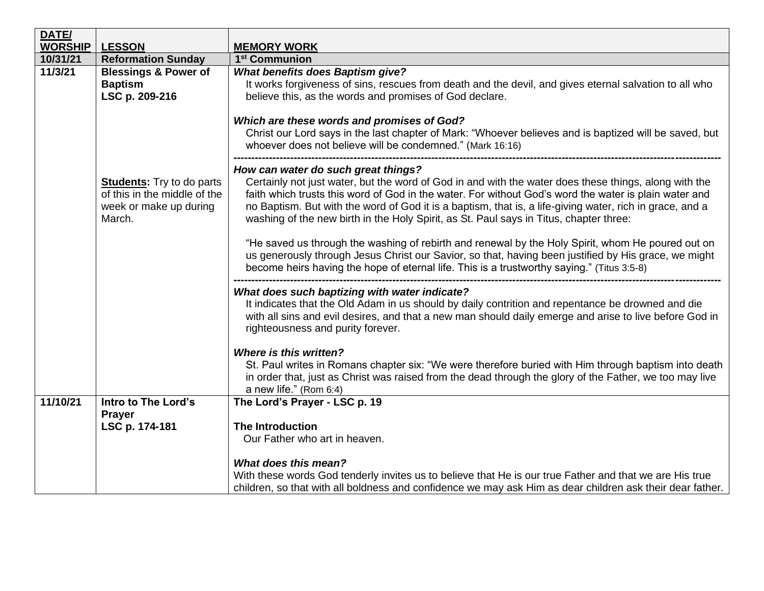| DATE/                                                                                                                                       |                                                                     |                                                                                                                                                                                                                                                                                                                                                                                                                      |  |  |  |
|---------------------------------------------------------------------------------------------------------------------------------------------|---------------------------------------------------------------------|----------------------------------------------------------------------------------------------------------------------------------------------------------------------------------------------------------------------------------------------------------------------------------------------------------------------------------------------------------------------------------------------------------------------|--|--|--|
| <b>WORSHIP</b>                                                                                                                              | <b>LESSON</b>                                                       | <b>MEMORY WORK</b>                                                                                                                                                                                                                                                                                                                                                                                                   |  |  |  |
| 10/31/21                                                                                                                                    | <b>Reformation Sunday</b>                                           | 1 <sup>st</sup> Communion                                                                                                                                                                                                                                                                                                                                                                                            |  |  |  |
| 11/3/21                                                                                                                                     | <b>Blessings &amp; Power of</b><br><b>Baptism</b><br>LSC p. 209-216 | <b>What benefits does Baptism give?</b><br>It works forgiveness of sins, rescues from death and the devil, and gives eternal salvation to all who<br>believe this, as the words and promises of God declare.                                                                                                                                                                                                         |  |  |  |
|                                                                                                                                             |                                                                     | Which are these words and promises of God?<br>Christ our Lord says in the last chapter of Mark: "Whoever believes and is baptized will be saved, but<br>whoever does not believe will be condemned." (Mark 16:16)                                                                                                                                                                                                    |  |  |  |
| How can water do such great things?<br><b>Students:</b> Try to do parts<br>of this in the middle of the<br>week or make up during<br>March. |                                                                     | Certainly not just water, but the word of God in and with the water does these things, along with the<br>faith which trusts this word of God in the water. For without God's word the water is plain water and<br>no Baptism. But with the word of God it is a baptism, that is, a life-giving water, rich in grace, and a<br>washing of the new birth in the Holy Spirit, as St. Paul says in Titus, chapter three: |  |  |  |
|                                                                                                                                             |                                                                     | "He saved us through the washing of rebirth and renewal by the Holy Spirit, whom He poured out on<br>us generously through Jesus Christ our Savior, so that, having been justified by His grace, we might<br>become heirs having the hope of eternal life. This is a trustworthy saying." (Titus 3:5-8)                                                                                                              |  |  |  |
|                                                                                                                                             |                                                                     | What does such baptizing with water indicate?<br>It indicates that the Old Adam in us should by daily contrition and repentance be drowned and die<br>with all sins and evil desires, and that a new man should daily emerge and arise to live before God in<br>righteousness and purity forever.                                                                                                                    |  |  |  |
|                                                                                                                                             |                                                                     | Where is this written?<br>St. Paul writes in Romans chapter six: "We were therefore buried with Him through baptism into death<br>in order that, just as Christ was raised from the dead through the glory of the Father, we too may live<br>a new life." (Rom 6:4)                                                                                                                                                  |  |  |  |
| 11/10/21                                                                                                                                    | Intro to The Lord's                                                 | The Lord's Prayer - LSC p. 19                                                                                                                                                                                                                                                                                                                                                                                        |  |  |  |
|                                                                                                                                             | <b>Prayer</b>                                                       |                                                                                                                                                                                                                                                                                                                                                                                                                      |  |  |  |
|                                                                                                                                             | LSC p. 174-181                                                      | <b>The Introduction</b>                                                                                                                                                                                                                                                                                                                                                                                              |  |  |  |
|                                                                                                                                             |                                                                     | Our Father who art in heaven.                                                                                                                                                                                                                                                                                                                                                                                        |  |  |  |
|                                                                                                                                             |                                                                     | <b>What does this mean?</b><br>With these words God tenderly invites us to believe that He is our true Father and that we are His true<br>children, so that with all boldness and confidence we may ask Him as dear children ask their dear father.                                                                                                                                                                  |  |  |  |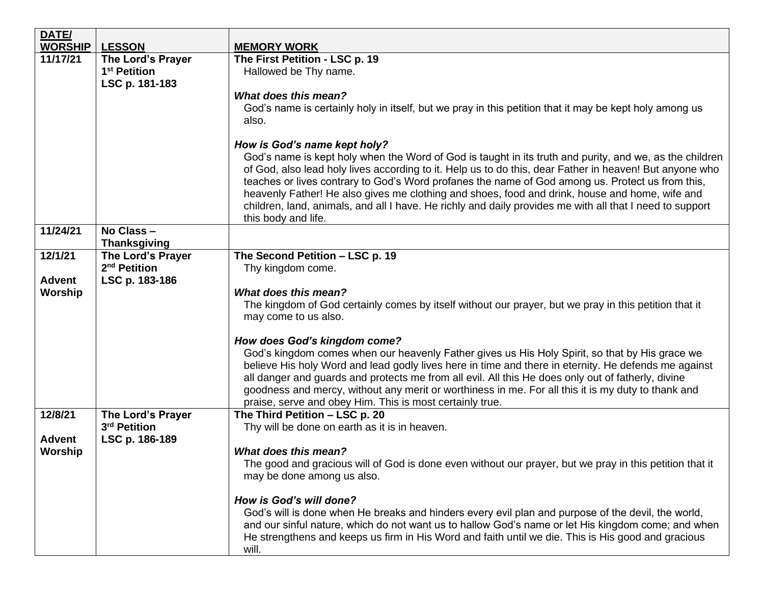| DATE/          |                                   |                                                                                                                                                                                                            |  |  |  |  |
|----------------|-----------------------------------|------------------------------------------------------------------------------------------------------------------------------------------------------------------------------------------------------------|--|--|--|--|
| <b>WORSHIP</b> | <b>LESSON</b>                     | <b>MEMORY WORK</b>                                                                                                                                                                                         |  |  |  |  |
| 11/17/21       | The Lord's Prayer                 | The First Petition - LSC p. 19                                                                                                                                                                             |  |  |  |  |
|                | 1 <sup>st</sup> Petition          | Hallowed be Thy name.                                                                                                                                                                                      |  |  |  |  |
|                | LSC p. 181-183                    |                                                                                                                                                                                                            |  |  |  |  |
|                |                                   | What does this mean?                                                                                                                                                                                       |  |  |  |  |
|                |                                   | God's name is certainly holy in itself, but we pray in this petition that it may be kept holy among us                                                                                                     |  |  |  |  |
|                |                                   | also.                                                                                                                                                                                                      |  |  |  |  |
|                |                                   |                                                                                                                                                                                                            |  |  |  |  |
|                |                                   | How is God's name kept holy?                                                                                                                                                                               |  |  |  |  |
|                |                                   | God's name is kept holy when the Word of God is taught in its truth and purity, and we, as the children                                                                                                    |  |  |  |  |
|                |                                   | of God, also lead holy lives according to it. Help us to do this, dear Father in heaven! But anyone who                                                                                                    |  |  |  |  |
|                |                                   | teaches or lives contrary to God's Word profanes the name of God among us. Protect us from this,                                                                                                           |  |  |  |  |
|                |                                   | heavenly Father! He also gives me clothing and shoes, food and drink, house and home, wife and<br>children, land, animals, and all I have. He richly and daily provides me with all that I need to support |  |  |  |  |
|                |                                   | this body and life.                                                                                                                                                                                        |  |  |  |  |
| 11/24/21       | No Class-                         |                                                                                                                                                                                                            |  |  |  |  |
|                | <b>Thanksgiving</b>               |                                                                                                                                                                                                            |  |  |  |  |
| 12/1/21        | The Lord's Prayer                 | The Second Petition - LSC p. 19                                                                                                                                                                            |  |  |  |  |
|                | 2 <sup>nd</sup> Petition          | Thy kingdom come.                                                                                                                                                                                          |  |  |  |  |
| <b>Advent</b>  | LSC p. 183-186                    |                                                                                                                                                                                                            |  |  |  |  |
| Worship        |                                   | What does this mean?                                                                                                                                                                                       |  |  |  |  |
|                |                                   | The kingdom of God certainly comes by itself without our prayer, but we pray in this petition that it                                                                                                      |  |  |  |  |
|                |                                   | may come to us also.                                                                                                                                                                                       |  |  |  |  |
|                |                                   |                                                                                                                                                                                                            |  |  |  |  |
|                |                                   | How does God's kingdom come?                                                                                                                                                                               |  |  |  |  |
|                |                                   | God's kingdom comes when our heavenly Father gives us His Holy Spirit, so that by His grace we                                                                                                             |  |  |  |  |
|                |                                   | believe His holy Word and lead godly lives here in time and there in eternity. He defends me against                                                                                                       |  |  |  |  |
|                |                                   | all danger and guards and protects me from all evil. All this He does only out of fatherly, divine                                                                                                         |  |  |  |  |
|                |                                   | goodness and mercy, without any merit or worthiness in me. For all this it is my duty to thank and                                                                                                         |  |  |  |  |
| 12/8/21        |                                   | praise, serve and obey Him. This is most certainly true.<br>The Third Petition - LSC p. 20                                                                                                                 |  |  |  |  |
|                | The Lord's Prayer<br>3rd Petition | Thy will be done on earth as it is in heaven.                                                                                                                                                              |  |  |  |  |
| <b>Advent</b>  | LSC p. 186-189                    |                                                                                                                                                                                                            |  |  |  |  |
| Worship        |                                   | <b>What does this mean?</b>                                                                                                                                                                                |  |  |  |  |
|                |                                   | The good and gracious will of God is done even without our prayer, but we pray in this petition that it                                                                                                    |  |  |  |  |
|                |                                   | may be done among us also.                                                                                                                                                                                 |  |  |  |  |
|                |                                   |                                                                                                                                                                                                            |  |  |  |  |
|                |                                   | How is God's will done?                                                                                                                                                                                    |  |  |  |  |
|                |                                   | God's will is done when He breaks and hinders every evil plan and purpose of the devil, the world,                                                                                                         |  |  |  |  |
|                |                                   | and our sinful nature, which do not want us to hallow God's name or let His kingdom come; and when                                                                                                         |  |  |  |  |
|                |                                   | He strengthens and keeps us firm in His Word and faith until we die. This is His good and gracious                                                                                                         |  |  |  |  |
|                |                                   | will.                                                                                                                                                                                                      |  |  |  |  |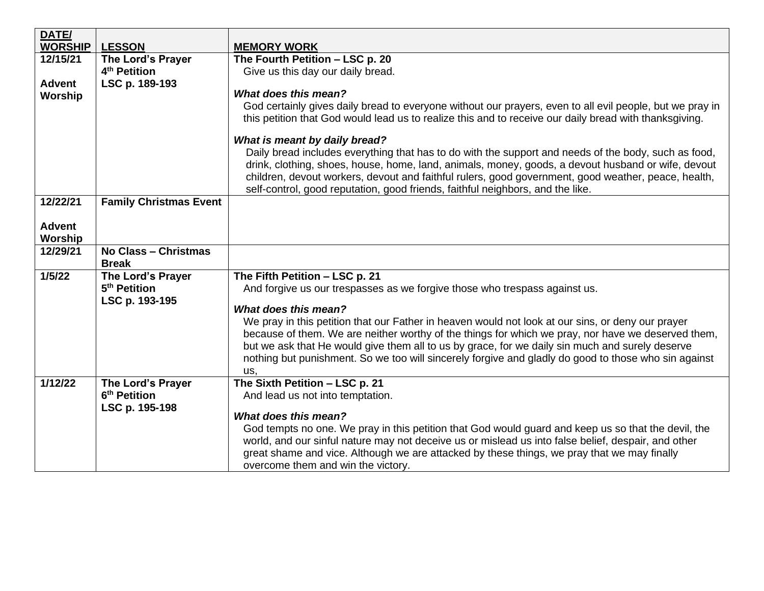| <b>LESSON</b>                 | <b>MEMORY WORK</b>                                                                                                                                                                                                 |
|-------------------------------|--------------------------------------------------------------------------------------------------------------------------------------------------------------------------------------------------------------------|
| The Lord's Prayer             | The Fourth Petition - LSC p. 20                                                                                                                                                                                    |
| 4 <sup>th</sup> Petition      | Give us this day our daily bread.                                                                                                                                                                                  |
| LSC p. 189-193                |                                                                                                                                                                                                                    |
|                               | What does this mean?                                                                                                                                                                                               |
|                               | God certainly gives daily bread to everyone without our prayers, even to all evil people, but we pray in<br>this petition that God would lead us to realize this and to receive our daily bread with thanksgiving. |
|                               | What is meant by daily bread?                                                                                                                                                                                      |
|                               | Daily bread includes everything that has to do with the support and needs of the body, such as food,<br>drink, clothing, shoes, house, home, land, animals, money, goods, a devout husband or wife, devout         |
|                               | children, devout workers, devout and faithful rulers, good government, good weather, peace, health,<br>self-control, good reputation, good friends, faithful neighbors, and the like.                              |
| <b>Family Christmas Event</b> |                                                                                                                                                                                                                    |
|                               |                                                                                                                                                                                                                    |
|                               |                                                                                                                                                                                                                    |
| No Class - Christmas          |                                                                                                                                                                                                                    |
|                               |                                                                                                                                                                                                                    |
|                               | The Fifth Petition - LSC p. 21                                                                                                                                                                                     |
|                               | And forgive us our trespasses as we forgive those who trespass against us.                                                                                                                                         |
|                               | What does this mean?                                                                                                                                                                                               |
|                               | We pray in this petition that our Father in heaven would not look at our sins, or deny our prayer                                                                                                                  |
|                               | because of them. We are neither worthy of the things for which we pray, nor have we deserved them,                                                                                                                 |
|                               | but we ask that He would give them all to us by grace, for we daily sin much and surely deserve                                                                                                                    |
|                               | nothing but punishment. So we too will sincerely forgive and gladly do good to those who sin against                                                                                                               |
|                               | us.                                                                                                                                                                                                                |
| The Lord's Prayer             | The Sixth Petition - LSC p. 21                                                                                                                                                                                     |
|                               | And lead us not into temptation.                                                                                                                                                                                   |
|                               |                                                                                                                                                                                                                    |
|                               | What does this mean?                                                                                                                                                                                               |
|                               | God tempts no one. We pray in this petition that God would guard and keep us so that the devil, the<br>world, and our sinful nature may not deceive us or mislead us into false belief, despair, and other         |
|                               | great shame and vice. Although we are attacked by these things, we pray that we may finally                                                                                                                        |
|                               | overcome them and win the victory.                                                                                                                                                                                 |
|                               | <b>Break</b><br>The Lord's Prayer<br>5 <sup>th</sup> Petition<br>LSC p. 193-195<br>6 <sup>th</sup> Petition<br>LSC p. 195-198                                                                                      |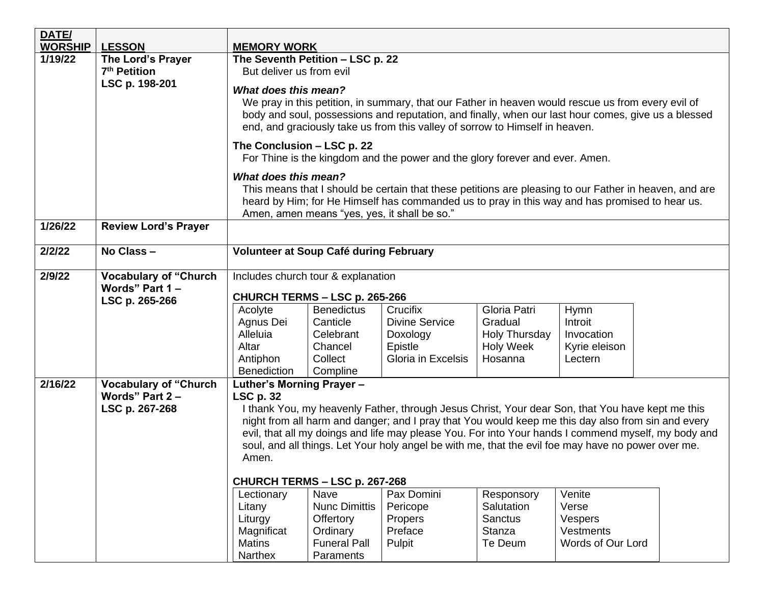| DATE/          |                              |                                                                                                                                                                                                        |                                              |                                                                              |                          |                                                                                                        |  |
|----------------|------------------------------|--------------------------------------------------------------------------------------------------------------------------------------------------------------------------------------------------------|----------------------------------------------|------------------------------------------------------------------------------|--------------------------|--------------------------------------------------------------------------------------------------------|--|
| <b>WORSHIP</b> | <b>LESSON</b>                | <b>MEMORY WORK</b>                                                                                                                                                                                     |                                              |                                                                              |                          |                                                                                                        |  |
| 1/19/22        | The Lord's Prayer            | The Seventh Petition - LSC p. 22                                                                                                                                                                       |                                              |                                                                              |                          |                                                                                                        |  |
|                | 7 <sup>th</sup> Petition     | But deliver us from evil                                                                                                                                                                               |                                              |                                                                              |                          |                                                                                                        |  |
|                | LSC p. 198-201               | <b>What does this mean?</b>                                                                                                                                                                            |                                              |                                                                              |                          |                                                                                                        |  |
|                |                              |                                                                                                                                                                                                        |                                              |                                                                              |                          | We pray in this petition, in summary, that our Father in heaven would rescue us from every evil of     |  |
|                |                              | body and soul, possessions and reputation, and finally, when our last hour comes, give us a blessed                                                                                                    |                                              |                                                                              |                          |                                                                                                        |  |
|                |                              |                                                                                                                                                                                                        |                                              | end, and graciously take us from this valley of sorrow to Himself in heaven. |                          |                                                                                                        |  |
|                |                              | The Conclusion - LSC p. 22                                                                                                                                                                             |                                              |                                                                              |                          |                                                                                                        |  |
|                |                              |                                                                                                                                                                                                        |                                              | For Thine is the kingdom and the power and the glory forever and ever. Amen. |                          |                                                                                                        |  |
|                |                              | <b>What does this mean?</b>                                                                                                                                                                            |                                              |                                                                              |                          |                                                                                                        |  |
|                |                              |                                                                                                                                                                                                        |                                              |                                                                              |                          | This means that I should be certain that these petitions are pleasing to our Father in heaven, and are |  |
|                |                              |                                                                                                                                                                                                        |                                              |                                                                              |                          | heard by Him; for He Himself has commanded us to pray in this way and has promised to hear us.         |  |
| 1/26/22        | <b>Review Lord's Prayer</b>  |                                                                                                                                                                                                        | Amen, amen means "yes, yes, it shall be so." |                                                                              |                          |                                                                                                        |  |
|                |                              |                                                                                                                                                                                                        |                                              |                                                                              |                          |                                                                                                        |  |
| 2/2/22         | No Class-                    | Volunteer at Soup Café during February                                                                                                                                                                 |                                              |                                                                              |                          |                                                                                                        |  |
| 2/9/22         | <b>Vocabulary of "Church</b> | Includes church tour & explanation<br>CHURCH TERMS - LSC p. 265-266                                                                                                                                    |                                              |                                                                              |                          |                                                                                                        |  |
|                | Words" Part 1-               |                                                                                                                                                                                                        |                                              |                                                                              |                          |                                                                                                        |  |
|                | LSC p. 265-266               | Acolyte                                                                                                                                                                                                | <b>Benedictus</b>                            | Crucifix                                                                     | Gloria Patri             | <b>Hymn</b>                                                                                            |  |
|                |                              | Agnus Dei                                                                                                                                                                                              | Canticle                                     | <b>Divine Service</b>                                                        | Gradual                  | Introit                                                                                                |  |
|                |                              | Alleluia                                                                                                                                                                                               | Celebrant                                    | Doxology                                                                     | Holy Thursday            | Invocation                                                                                             |  |
|                |                              | Altar                                                                                                                                                                                                  | Chancel                                      | Epistle                                                                      | <b>Holy Week</b>         | Kyrie eleison                                                                                          |  |
|                |                              | Antiphon                                                                                                                                                                                               | Collect                                      | Gloria in Excelsis                                                           | Hosanna                  | Lectern                                                                                                |  |
|                |                              | <b>Benediction</b>                                                                                                                                                                                     | Compline                                     |                                                                              |                          |                                                                                                        |  |
| 2/16/22        | <b>Vocabulary of "Church</b> | Luther's Morning Prayer -                                                                                                                                                                              |                                              |                                                                              |                          |                                                                                                        |  |
|                | Words" Part 2 -              | <b>LSC p. 32</b>                                                                                                                                                                                       |                                              |                                                                              |                          |                                                                                                        |  |
|                | LSC p. 267-268               | I thank You, my heavenly Father, through Jesus Christ, Your dear Son, that You have kept me this<br>night from all harm and danger; and I pray that You would keep me this day also from sin and every |                                              |                                                                              |                          |                                                                                                        |  |
|                |                              | evil, that all my doings and life may please You. For into Your hands I commend myself, my body and                                                                                                    |                                              |                                                                              |                          |                                                                                                        |  |
|                |                              | soul, and all things. Let Your holy angel be with me, that the evil foe may have no power over me.                                                                                                     |                                              |                                                                              |                          |                                                                                                        |  |
|                |                              | Amen.                                                                                                                                                                                                  |                                              |                                                                              |                          |                                                                                                        |  |
|                |                              |                                                                                                                                                                                                        |                                              |                                                                              |                          |                                                                                                        |  |
|                |                              | CHURCH TERMS - LSC p. 267-268                                                                                                                                                                          |                                              |                                                                              |                          |                                                                                                        |  |
|                |                              | Lectionary<br>Litany                                                                                                                                                                                   | Nave<br><b>Nunc Dimittis</b>                 | Pax Domini<br>Pericope                                                       | Responsory<br>Salutation | Venite<br>Verse                                                                                        |  |
|                |                              | Liturgy                                                                                                                                                                                                | Offertory                                    | Propers                                                                      | Sanctus                  | Vespers                                                                                                |  |
|                |                              | Magnificat                                                                                                                                                                                             | Ordinary                                     | Preface                                                                      | Stanza                   | <b>Vestments</b>                                                                                       |  |
|                |                              | <b>Matins</b>                                                                                                                                                                                          | <b>Funeral Pall</b>                          | Pulpit                                                                       | Te Deum                  | Words of Our Lord                                                                                      |  |
|                |                              | Narthex                                                                                                                                                                                                | Paraments                                    |                                                                              |                          |                                                                                                        |  |